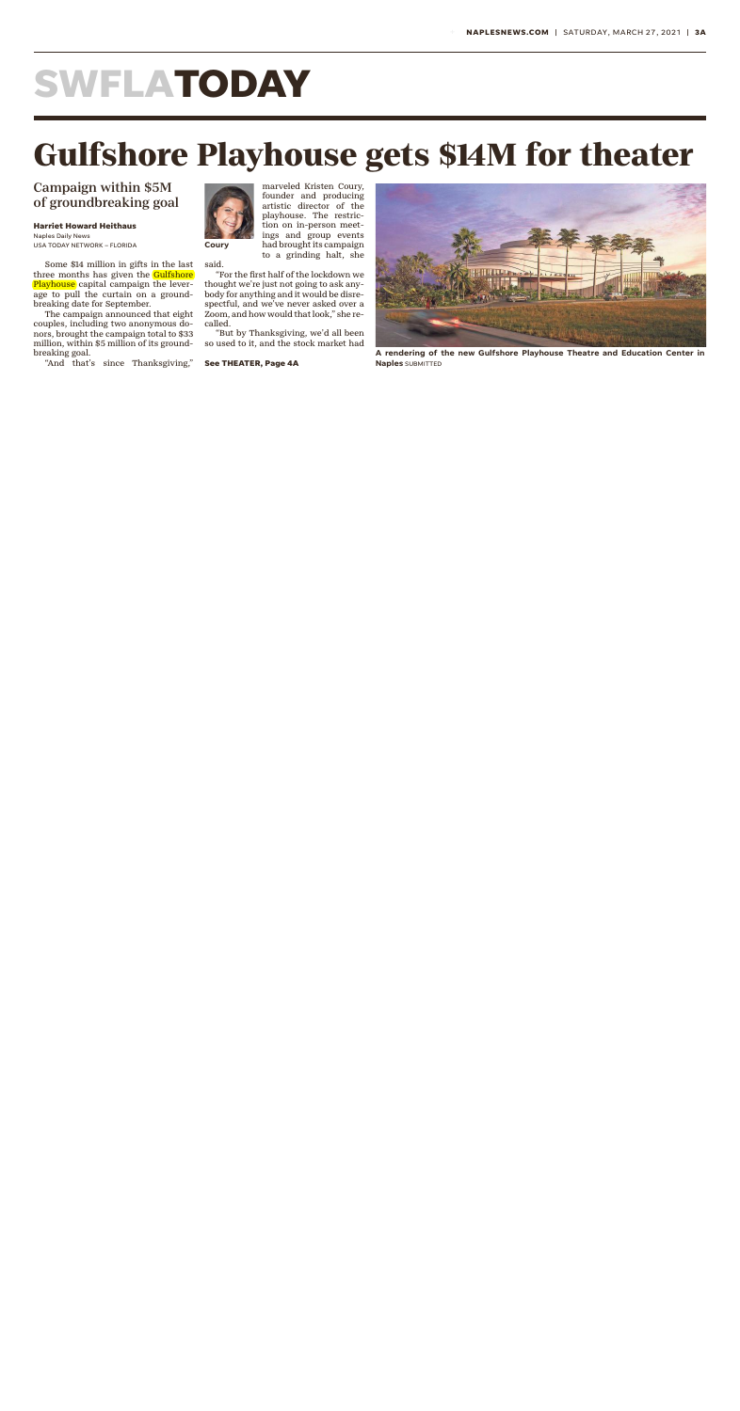## **SWFLATODAY**

## **Gulfshore Playhouse gets \$14M for theater**

Campaign within \$5M of groundbreaking goal

**Harriet Howard Heithaus** Naples Daily News

USA TODAY NETWORK – FLORIDA

Some \$14 million in gifts in the last three months has given the **Gulfshore** Playhouse capital campaign the leverage to pull the curtain on a groundbreaking date for September.

The campaign announced that eight couples, including two anonymous donors, brought the campaign total to \$33 million, within \$5 million of its groundbreaking goal.

"And that's since Thanksgiving,"



**Coury** 

said.

marveled Kristen Coury, founder and producing artistic director of the playhouse. The restriction on in-person meetings and group events had brought its campaign to a grinding halt, she

"For the first half of the lockdown we thought we're just not going to ask anybody for anything and it would be disrespectful, and we've never asked over a Zoom, and how would that look," she recalled.

"But by Thanksgiving, we'd all been so used to it, and the stock market had

**See THEATER, Page 4A**



**A rendering of the new Gulfshore Playhouse Theatre and Education Center in Naples** SUBMITTED